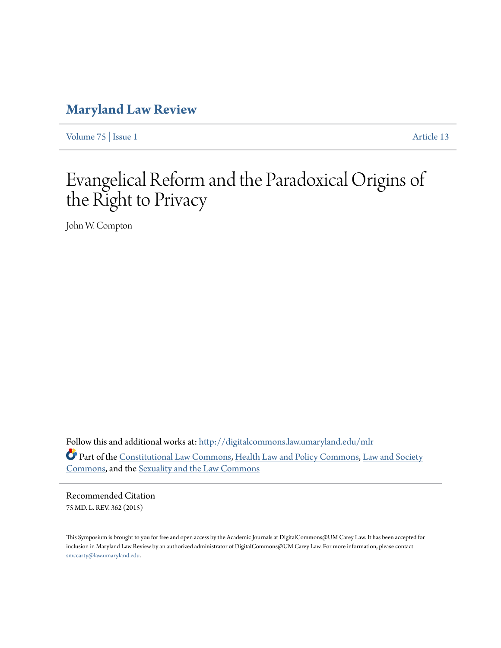# **[Maryland Law Review](http://digitalcommons.law.umaryland.edu/mlr?utm_source=digitalcommons.law.umaryland.edu%2Fmlr%2Fvol75%2Fiss1%2F13&utm_medium=PDF&utm_campaign=PDFCoverPages)**

[Volume 75](http://digitalcommons.law.umaryland.edu/mlr/vol75?utm_source=digitalcommons.law.umaryland.edu%2Fmlr%2Fvol75%2Fiss1%2F13&utm_medium=PDF&utm_campaign=PDFCoverPages) | [Issue 1](http://digitalcommons.law.umaryland.edu/mlr/vol75/iss1?utm_source=digitalcommons.law.umaryland.edu%2Fmlr%2Fvol75%2Fiss1%2F13&utm_medium=PDF&utm_campaign=PDFCoverPages) [Article 13](http://digitalcommons.law.umaryland.edu/mlr/vol75/iss1/13?utm_source=digitalcommons.law.umaryland.edu%2Fmlr%2Fvol75%2Fiss1%2F13&utm_medium=PDF&utm_campaign=PDFCoverPages)

# Evangelical Reform and the Paradoxical Origins of the Right to Privacy

John W. Compton

Follow this and additional works at: [http://digitalcommons.law.umaryland.edu/mlr](http://digitalcommons.law.umaryland.edu/mlr?utm_source=digitalcommons.law.umaryland.edu%2Fmlr%2Fvol75%2Fiss1%2F13&utm_medium=PDF&utm_campaign=PDFCoverPages) Part of the [Constitutional Law Commons,](http://network.bepress.com/hgg/discipline/589?utm_source=digitalcommons.law.umaryland.edu%2Fmlr%2Fvol75%2Fiss1%2F13&utm_medium=PDF&utm_campaign=PDFCoverPages) [Health Law and Policy Commons,](http://network.bepress.com/hgg/discipline/901?utm_source=digitalcommons.law.umaryland.edu%2Fmlr%2Fvol75%2Fiss1%2F13&utm_medium=PDF&utm_campaign=PDFCoverPages) [Law and Society](http://network.bepress.com/hgg/discipline/853?utm_source=digitalcommons.law.umaryland.edu%2Fmlr%2Fvol75%2Fiss1%2F13&utm_medium=PDF&utm_campaign=PDFCoverPages) [Commons,](http://network.bepress.com/hgg/discipline/853?utm_source=digitalcommons.law.umaryland.edu%2Fmlr%2Fvol75%2Fiss1%2F13&utm_medium=PDF&utm_campaign=PDFCoverPages) and the [Sexuality and the Law Commons](http://network.bepress.com/hgg/discipline/877?utm_source=digitalcommons.law.umaryland.edu%2Fmlr%2Fvol75%2Fiss1%2F13&utm_medium=PDF&utm_campaign=PDFCoverPages)

Recommended Citation 75 MD. L. REV. 362 (2015)

This Symposium is brought to you for free and open access by the Academic Journals at DigitalCommons@UM Carey Law. It has been accepted for inclusion in Maryland Law Review by an authorized administrator of DigitalCommons@UM Carey Law. For more information, please contact [smccarty@law.umaryland.edu.](mailto:smccarty@law.umaryland.edu)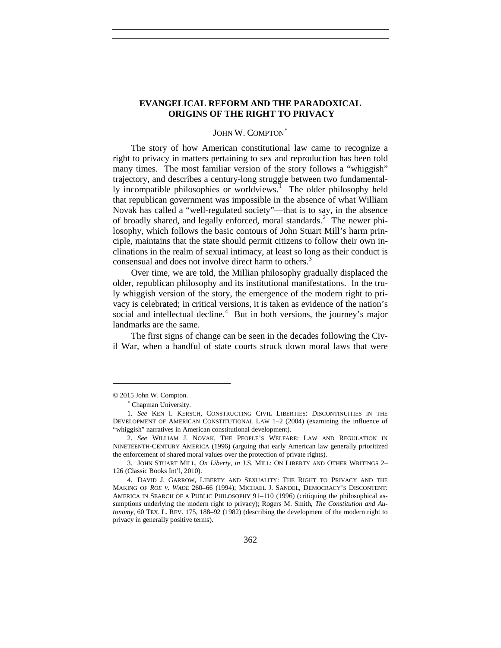# **EVANGELICAL REFORM AND THE PARADOXICAL ORIGINS OF THE RIGHT TO PRIVACY**

## <span id="page-1-7"></span><span id="page-1-5"></span>JOHN W. COMPTON<sup>\*</sup>

The story of how American constitutional law came to recognize a right to privacy in matters pertaining to sex and reproduction has been told many times. The most familiar version of the story follows a "whiggish" trajectory, and describes a century-long struggle between two fundamental-ly incompatible philosophies or worldviews.<sup>[1](#page-1-1)</sup> The older philosophy held that republican government was impossible in the absence of what William Novak has called a "well-regulated society"—that is to say, in the absence of broadly shared, and legally enforced, moral standards.<sup>[2](#page-1-2)</sup> The newer philosophy, which follows the basic contours of John Stuart Mill's harm principle, maintains that the state should permit citizens to follow their own inclinations in the realm of sexual intimacy, at least so long as their conduct is consensual and does not involve direct harm to others.<sup>[3](#page-1-3)</sup>

Over time, we are told, the Millian philosophy gradually displaced the older, republican philosophy and its institutional manifestations. In the truly whiggish version of the story, the emergence of the modern right to privacy is celebrated; in critical versions, it is taken as evidence of the nation's social and intellectual decline.<sup>[4](#page-1-4)</sup> But in both versions, the journey's major landmarks are the same.

<span id="page-1-6"></span>The first signs of change can be seen in the decades following the Civil War, when a handful of state courts struck down moral laws that were

<span id="page-1-0"></span><sup>© 2015</sup> John W. Compton.

<sup>∗</sup> Chapman University.

<span id="page-1-1"></span><sup>1.</sup> *See* KEN I. KERSCH, CONSTRUCTING CIVIL LIBERTIES: DISCONTINUITIES IN THE DEVELOPMENT OF AMERICAN CONSTITUTIONAL LAW 1–2 (2004) (examining the influence of "whiggish" narratives in American constitutional development).

<span id="page-1-2"></span><sup>2.</sup> *See* WILLIAM J. NOVAK, THE PEOPLE'S WELFARE: LAW AND REGULATION IN NINETEENTH-CENTURY AMERICA (1996) (arguing that early American law generally prioritized the enforcement of shared moral values over the protection of private rights).

<span id="page-1-3"></span><sup>3.</sup> JOHN STUART MILL, *On Liberty*, *in* J.S. MILL: ON LIBERTY AND OTHER WRITINGS 2– 126 (Classic Books Int'l, 2010).

<span id="page-1-4"></span><sup>4.</sup> DAVID J. GARROW, LIBERTY AND SEXUALITY: THE RIGHT TO PRIVACY AND THE MAKING OF *ROE V. WADE* 260–66 (1994); MICHAEL J. SANDEL, DEMOCRACY'S DISCONTENT: AMERICA IN SEARCH OF A PUBLIC PHILOSOPHY 91–110 (1996) (critiquing the philosophical assumptions underlying the modern right to privacy); Rogers M. Smith, *The Constitution and Autonomy*, 60 TEX. L. REV. 175, 188–92 (1982) (describing the development of the modern right to privacy in generally positive terms).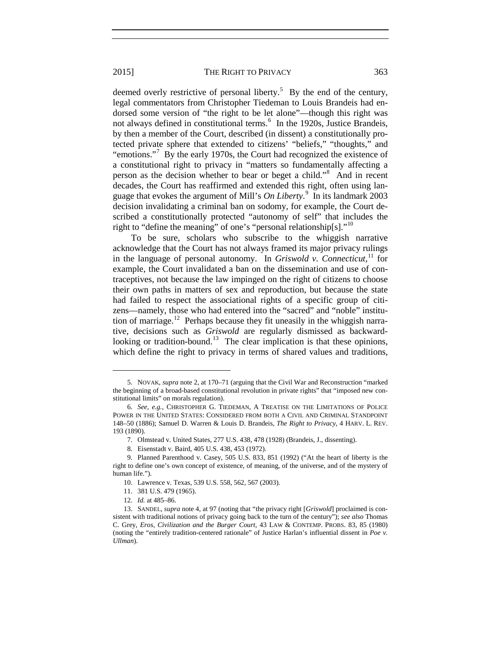<span id="page-2-9"></span>deemed overly restrictive of personal liberty.<sup>[5](#page-2-0)</sup> By the end of the century, legal commentators from Christopher Tiedeman to Louis Brandeis had endorsed some version of "the right to be let alone"—though this right was not always defined in constitutional terms.<sup>[6](#page-2-1)</sup> In the 1920s, Justice Brandeis, by then a member of the Court, described (in dissent) a constitutionally protected private sphere that extended to citizens' "beliefs," "thoughts," and "emotions."<sup>[7](#page-2-2)</sup> By the early 1970s, the Court had recognized the existence of a constitutional right to privacy in "matters so fundamentally affecting a person as the decision whether to bear or beget a child."[8](#page-2-3) And in recent decades, the Court has reaffirmed and extended this right, often using language that evokes the argument of Mill's *On Liberty*. [9](#page-2-4) In its landmark 2003 decision invalidating a criminal ban on sodomy, for example, the Court described a constitutionally protected "autonomy of self" that includes the right to "define the meaning" of one's "personal relationship $[s]$ ."<sup>[10](#page-2-5)</sup>

To be sure, scholars who subscribe to the whiggish narrative acknowledge that the Court has not always framed its major privacy rulings in the language of personal autonomy. In *Griswold v. Connecticut*, [11](#page-2-6) for example, the Court invalidated a ban on the dissemination and use of contraceptives, not because the law impinged on the right of citizens to choose their own paths in matters of sex and reproduction, but because the state had failed to respect the associational rights of a specific group of citizens—namely, those who had entered into the "sacred" and "noble" institution of marriage.<sup>12</sup> Perhaps because they fit uneasily in the whiggish narrative, decisions such as *Griswold* are regularly dismissed as backward-looking or tradition-bound.<sup>[13](#page-2-8)</sup> The clear implication is that these opinions, which define the right to privacy in terms of shared values and traditions,

<span id="page-2-0"></span><sup>5.</sup> NOVAK, *supra* not[e 2,](#page-1-5) at 170–71 (arguing that the Civil War and Reconstruction "marked the beginning of a broad-based constitutional revolution in private rights" that "imposed new constitutional limits" on morals regulation).

<span id="page-2-1"></span><sup>6.</sup> *See, e.g.*, CHRISTOPHER G. TIEDEMAN, A TREATISE ON THE LIMITATIONS OF POLICE POWER IN THE UNITED STATES: CONSIDERED FROM BOTH A CIVIL AND CRIMINAL STANDPOINT 148–50 (1886); Samuel D. Warren & Louis D. Brandeis, *The Right to Privacy*, 4 HARV. L. REV. 193 (1890).

<sup>7.</sup> Olmstead v. United States, 277 U.S. 438, 478 (1928) (Brandeis, J., dissenting).

<sup>8.</sup> Eisenstadt v. Baird, 405 U.S. 438, 453 (1972).

<span id="page-2-4"></span><span id="page-2-3"></span><span id="page-2-2"></span><sup>9.</sup> Planned Parenthood v. Casey, 505 U.S. 833, 851 (1992) ("At the heart of liberty is the right to define one's own concept of existence, of meaning, of the universe, and of the mystery of human life.").

<sup>10.</sup> Lawrence v. Texas, 539 U.S. 558, 562, 567 (2003).

<sup>11.</sup> 381 U.S. 479 (1965).

<sup>12.</sup> *Id.* at 485–86.

<span id="page-2-8"></span><span id="page-2-7"></span><span id="page-2-6"></span><span id="page-2-5"></span><sup>13.</sup> SANDEL, *supra* not[e 4,](#page-1-6) at 97 (noting that "the privacy right [*Griswold*] proclaimed is consistent with traditional notions of privacy going back to the turn of the century"); *see also* Thomas C. Grey, *Eros, Civilization and the Burger Court*, 43 LAW & CONTEMP. PROBS. 83, 85 (1980) (noting the "entirely tradition-centered rationale" of Justice Harlan's influential dissent in *Poe v. Ullman*).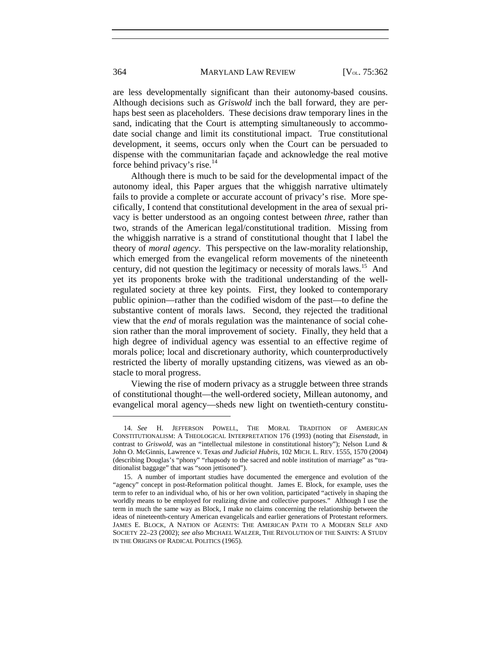are less developmentally significant than their autonomy-based cousins. Although decisions such as *Griswold* inch the ball forward, they are perhaps best seen as placeholders. These decisions draw temporary lines in the sand, indicating that the Court is attempting simultaneously to accommodate social change and limit its constitutional impact. True constitutional development, it seems, occurs only when the Court can be persuaded to dispense with the communitarian façade and acknowledge the real motive force behind privacy's rise. $14$ 

Although there is much to be said for the developmental impact of the autonomy ideal, this Paper argues that the whiggish narrative ultimately fails to provide a complete or accurate account of privacy's rise. More specifically, I contend that constitutional development in the area of sexual privacy is better understood as an ongoing contest between *three*, rather than two, strands of the American legal/constitutional tradition. Missing from the whiggish narrative is a strand of constitutional thought that I label the theory of *moral agency*. This perspective on the law-morality relationship, which emerged from the evangelical reform movements of the nineteenth century, did not question the legitimacy or necessity of morals laws.<sup>15</sup> And yet its proponents broke with the traditional understanding of the wellregulated society at three key points. First, they looked to contemporary public opinion—rather than the codified wisdom of the past—to define the substantive content of morals laws. Second, they rejected the traditional view that the *end* of morals regulation was the maintenance of social cohesion rather than the moral improvement of society. Finally, they held that a high degree of individual agency was essential to an effective regime of morals police; local and discretionary authority, which counterproductively restricted the liberty of morally upstanding citizens, was viewed as an obstacle to moral progress.

Viewing the rise of modern privacy as a struggle between three strands of constitutional thought—the well-ordered society, Millean autonomy, and evangelical moral agency—sheds new light on twentieth-century constitu-

<span id="page-3-0"></span><sup>14.</sup> *See* H. JEFFERSON POWELL, THE MORAL TRADITION OF AMERICAN CONSTITUTIONALISM: A THEOLOGICAL INTERPRETATION 176 (1993) (noting that *Eisenstadt*, in contrast to *Griswold*, was an "intellectual milestone in constitutional history"); Nelson Lund & John O. McGinnis, Lawrence v. Texas *and Judicial Hubris*, 102 MICH. L. REV. 1555, 1570 (2004) (describing Douglas's "phony" "rhapsody to the sacred and noble institution of marriage" as "traditionalist baggage" that was "soon jettisoned").

<span id="page-3-1"></span><sup>15.</sup> A number of important studies have documented the emergence and evolution of the "agency" concept in post-Reformation political thought. James E. Block, for example, uses the term to refer to an individual who, of his or her own volition, participated "actively in shaping the worldly means to be employed for realizing divine and collective purposes." Although I use the term in much the same way as Block, I make no claims concerning the relationship between the ideas of nineteenth-century American evangelicals and earlier generations of Protestant reformers. JAMES E. BLOCK, A NATION OF AGENTS: THE AMERICAN PATH TO A MODERN SELF AND SOCIETY 22–23 (2002); *see also* MICHAEL WALZER, THE REVOLUTION OF THE SAINTS: A STUDY IN THE ORIGINS OF RADICAL POLITICS (1965).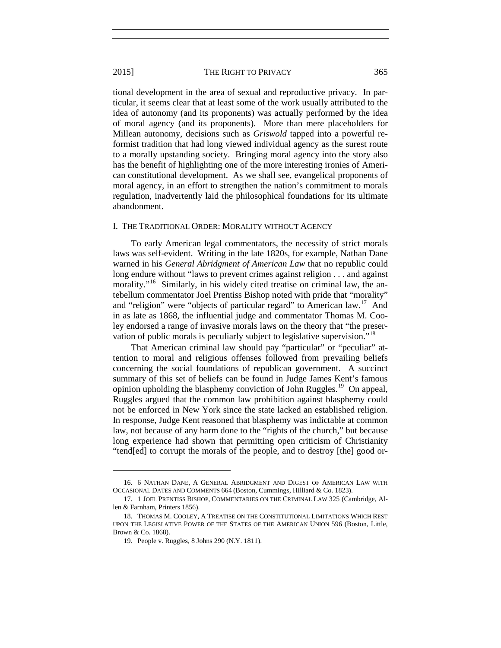tional development in the area of sexual and reproductive privacy. In particular, it seems clear that at least some of the work usually attributed to the idea of autonomy (and its proponents) was actually performed by the idea of moral agency (and its proponents). More than mere placeholders for Millean autonomy, decisions such as *Griswold* tapped into a powerful reformist tradition that had long viewed individual agency as the surest route to a morally upstanding society. Bringing moral agency into the story also has the benefit of highlighting one of the more interesting ironies of American constitutional development. As we shall see, evangelical proponents of moral agency, in an effort to strengthen the nation's commitment to morals regulation, inadvertently laid the philosophical foundations for its ultimate abandonment.

#### I. THE TRADITIONAL ORDER: MORALITY WITHOUT AGENCY

To early American legal commentators, the necessity of strict morals laws was self-evident. Writing in the late 1820s, for example, Nathan Dane warned in his *General Abridgment of American Law* that no republic could long endure without "laws to prevent crimes against religion . . . and against morality."<sup>[16](#page-4-0)</sup> Similarly, in his widely cited treatise on criminal law, the antebellum commentator Joel Prentiss Bishop noted with pride that "morality" and "religion" were "objects of particular regard" to American law.<sup>[17](#page-4-1)</sup> And in as late as 1868, the influential judge and commentator Thomas M. Cooley endorsed a range of invasive morals laws on the theory that "the preser-vation of public morals is peculiarly subject to legislative supervision."<sup>[18](#page-4-2)</sup>

That American criminal law should pay "particular" or "peculiar" attention to moral and religious offenses followed from prevailing beliefs concerning the social foundations of republican government. A succinct summary of this set of beliefs can be found in Judge James Kent's famous opinion upholding the blasphemy conviction of John Ruggles.[19](#page-4-3) On appeal, Ruggles argued that the common law prohibition against blasphemy could not be enforced in New York since the state lacked an established religion. In response, Judge Kent reasoned that blasphemy was indictable at common law, not because of any harm done to the "rights of the church," but because long experience had shown that permitting open criticism of Christianity "tend[ed] to corrupt the morals of the people, and to destroy [the] good or-

<span id="page-4-0"></span><sup>16.</sup> 6 NATHAN DANE, A GENERAL ABRIDGMENT AND DIGEST OF AMERICAN LAW WITH OCCASIONAL DATES AND COMMENTS 664 (Boston, Cummings, Hilliard & Co. 1823).

<span id="page-4-1"></span><sup>17.</sup> 1 JOEL PRENTISS BISHOP, COMMENTARIES ON THE CRIMINAL LAW 325 (Cambridge, Allen & Farnham, Printers 1856).

<span id="page-4-3"></span><span id="page-4-2"></span><sup>18.</sup> THOMAS M. COOLEY, A TREATISE ON THE CONSTITUTIONAL LIMITATIONS WHICH REST UPON THE LEGISLATIVE POWER OF THE STATES OF THE AMERICAN UNION 596 (Boston, Little, Brown & Co. 1868).

<sup>19.</sup> People v. Ruggles, 8 Johns 290 (N.Y. 1811).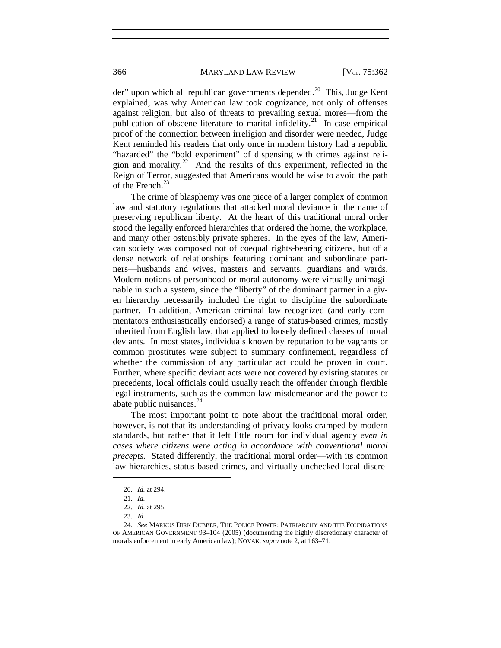der" upon which all republican governments depended.<sup>20</sup> This, Judge Kent explained, was why American law took cognizance, not only of offenses against religion, but also of threats to prevailing sexual mores—from the publication of obscene literature to marital infidelity.<sup>[21](#page-5-1)</sup> In case empirical proof of the connection between irreligion and disorder were needed, Judge Kent reminded his readers that only once in modern history had a republic "hazarded" the "bold experiment" of dispensing with crimes against religion and morality.<sup>22</sup> And the results of this experiment, reflected in the Reign of Terror, suggested that Americans would be wise to avoid the path of the French.<sup>[23](#page-5-3)</sup>

The crime of blasphemy was one piece of a larger complex of common law and statutory regulations that attacked moral deviance in the name of preserving republican liberty. At the heart of this traditional moral order stood the legally enforced hierarchies that ordered the home, the workplace, and many other ostensibly private spheres. In the eyes of the law, American society was composed not of coequal rights-bearing citizens, but of a dense network of relationships featuring dominant and subordinate partners—husbands and wives, masters and servants, guardians and wards. Modern notions of personhood or moral autonomy were virtually unimaginable in such a system, since the "liberty" of the dominant partner in a given hierarchy necessarily included the right to discipline the subordinate partner. In addition, American criminal law recognized (and early commentators enthusiastically endorsed) a range of status-based crimes, mostly inherited from English law, that applied to loosely defined classes of moral deviants. In most states, individuals known by reputation to be vagrants or common prostitutes were subject to summary confinement, regardless of whether the commission of any particular act could be proven in court. Further, where specific deviant acts were not covered by existing statutes or precedents, local officials could usually reach the offender through flexible legal instruments, such as the common law misdemeanor and the power to abate public nuisances. $^{24}$  $^{24}$  $^{24}$ 

The most important point to note about the traditional moral order, however, is not that its understanding of privacy looks cramped by modern standards, but rather that it left little room for individual agency *even in cases where citizens were acting in accordance with conventional moral precepts.* Stated differently, the traditional moral order—with its common law hierarchies, status-based crimes, and virtually unchecked local discre-

<sup>20.</sup> *Id.* at 294.

<sup>21.</sup> *Id.*

<sup>22.</sup> *Id.* at 295.

<sup>23.</sup> *Id.*

<span id="page-5-4"></span><span id="page-5-3"></span><span id="page-5-2"></span><span id="page-5-1"></span><span id="page-5-0"></span><sup>24.</sup> *See* MARKUS DIRK DUBBER, THE POLICE POWER: PATRIARCHY AND THE FOUNDATIONS OF AMERICAN GOVERNMENT 93–104 (2005) (documenting the highly discretionary character of morals enforcement in early American law); NOVAK, *supra* note [2,](#page-1-5) at 163–71.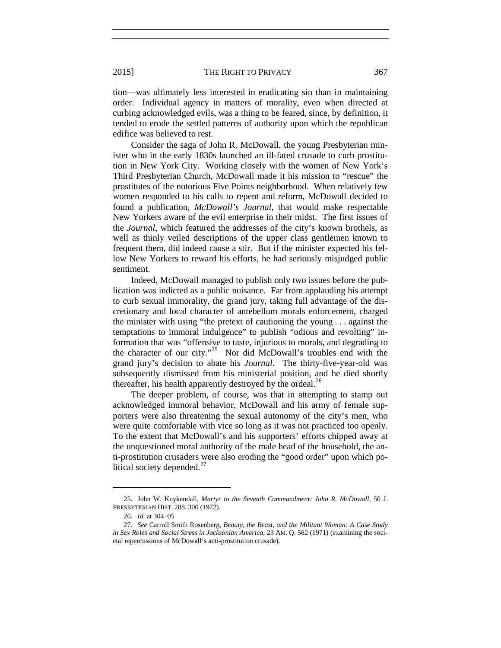tion—was ultimately less interested in eradicating sin than in maintaining order. Individual agency in matters of morality, even when directed at curbing acknowledged evils, was a thing to be feared, since, by definition, it tended to erode the settled patterns of authority upon which the republican edifice was believed to rest.

Consider the saga of John R. McDowall, the young Presbyterian minister who in the early 1830s launched an ill-fated crusade to curb prostitution in New York City. Working closely with the women of New York's Third Presbyterian Church, McDowall made it his mission to "rescue" the prostitutes of the notorious Five Points neighborhood. When relatively few women responded to his calls to repent and reform, McDowall decided to found a publication, *McDowall's Journal*, that would make respectable New Yorkers aware of the evil enterprise in their midst. The first issues of the *Journal*, which featured the addresses of the city's known brothels, as well as thinly veiled descriptions of the upper class gentlemen known to frequent them, did indeed cause a stir. But if the minister expected his fellow New Yorkers to reward his efforts, he had seriously misjudged public sentiment.

Indeed, McDowall managed to publish only two issues before the publication was indicted as a public nuisance. Far from applauding his attempt to curb sexual immorality, the grand jury, taking full advantage of the discretionary and local character of antebellum morals enforcement, charged the minister with using "the pretext of cautioning the young . . . against the temptations to immoral indulgence" to publish "odious and revolting" information that was "offensive to taste, injurious to morals, and degrading to the character of our city."[25](#page-6-0) Nor did McDowall's troubles end with the grand jury's decision to abate his *Journal*. The thirty-five-year-old was subsequently dismissed from his ministerial position, and he died shortly thereafter, his health apparently destroyed by the ordeal.<sup>[26](#page-6-1)</sup>

The deeper problem, of course, was that in attempting to stamp out acknowledged immoral behavior, McDowall and his army of female supporters were also threatening the sexual autonomy of the city's men, who were quite comfortable with vice so long as it was not practiced too openly. To the extent that McDowall's and his supporters' efforts chipped away at the unquestioned moral authority of the male head of the household, the anti-prostitution crusaders were also eroding the "good order" upon which political society depended. $27$ 

<span id="page-6-0"></span><sup>25.</sup> John W. Kuykendall, *Martyr to the Seventh Commandment: John R. McDowall*, 50 J. PRESBYTERIAN HIST. 288, 300 (1972).

<sup>26.</sup> *Id.* at 304–05

<span id="page-6-2"></span><span id="page-6-1"></span><sup>27.</sup> *See* Carroll Smith Rosenberg, *Beauty, the Beast, and the Militant Woman: A Case Study in Sex Roles and Social Stress in Jacksonian America*, 23 AM. Q. 562 (1971) (examining the societal repercussions of McDowall's anti-prostitution crusade).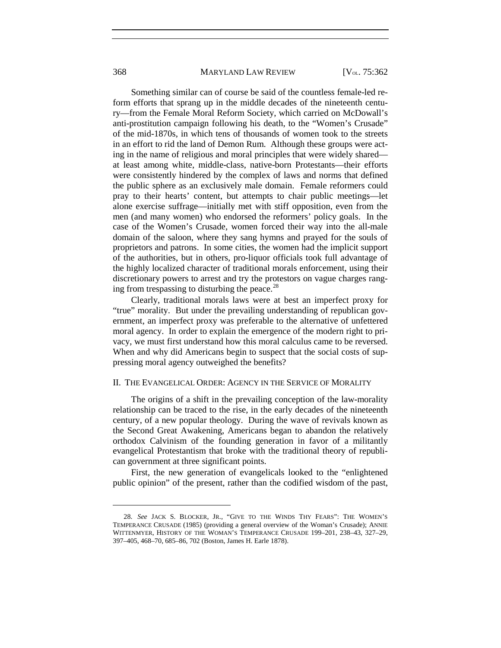#### 368 MARYLAND LAW REVIEW [V<sub>OL.</sub> 75:362]

Something similar can of course be said of the countless female-led reform efforts that sprang up in the middle decades of the nineteenth century—from the Female Moral Reform Society, which carried on McDowall's anti-prostitution campaign following his death, to the "Women's Crusade" of the mid-1870s, in which tens of thousands of women took to the streets in an effort to rid the land of Demon Rum. Although these groups were acting in the name of religious and moral principles that were widely shared at least among white, middle-class, native-born Protestants—their efforts were consistently hindered by the complex of laws and norms that defined the public sphere as an exclusively male domain. Female reformers could pray to their hearts' content, but attempts to chair public meetings—let alone exercise suffrage—initially met with stiff opposition, even from the men (and many women) who endorsed the reformers' policy goals. In the case of the Women's Crusade, women forced their way into the all-male domain of the saloon, where they sang hymns and prayed for the souls of proprietors and patrons. In some cities, the women had the implicit support of the authorities, but in others, pro-liquor officials took full advantage of the highly localized character of traditional morals enforcement, using their discretionary powers to arrest and try the protestors on vague charges rang-ing from trespassing to disturbing the peace.<sup>[28](#page-7-0)</sup>

Clearly, traditional morals laws were at best an imperfect proxy for "true" morality. But under the prevailing understanding of republican government, an imperfect proxy was preferable to the alternative of unfettered moral agency. In order to explain the emergence of the modern right to privacy, we must first understand how this moral calculus came to be reversed. When and why did Americans begin to suspect that the social costs of suppressing moral agency outweighed the benefits?

### II. THE EVANGELICAL ORDER: AGENCY IN THE SERVICE OF MORALITY

The origins of a shift in the prevailing conception of the law-morality relationship can be traced to the rise, in the early decades of the nineteenth century, of a new popular theology. During the wave of revivals known as the Second Great Awakening, Americans began to abandon the relatively orthodox Calvinism of the founding generation in favor of a militantly evangelical Protestantism that broke with the traditional theory of republican government at three significant points.

First, the new generation of evangelicals looked to the "enlightened public opinion" of the present, rather than the codified wisdom of the past,

<span id="page-7-0"></span><sup>28.</sup> *See* JACK S. BLOCKER, JR., "GIVE TO THE WINDS THY FEARS": THE WOMEN'S TEMPERANCE CRUSADE (1985) (providing a general overview of the Woman's Crusade); ANNIE WITTENMYER, HISTORY OF THE WOMAN'S TEMPERANCE CRUSADE 199–201, 238–43, 327–29, 397–405, 468–70, 685–86, 702 (Boston, James H. Earle 1878).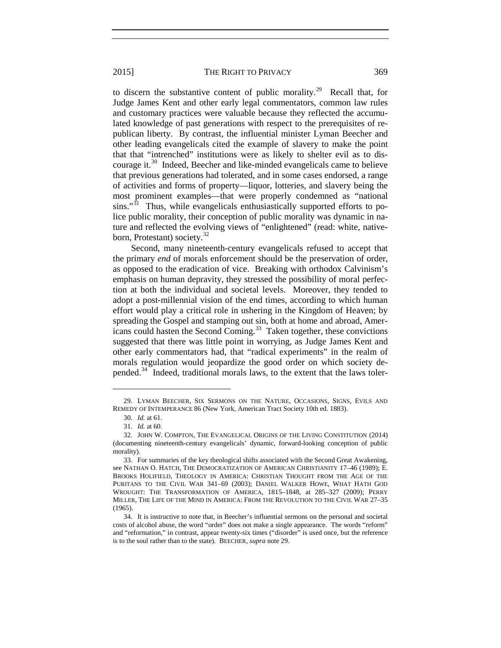to discern the substantive content of public morality.<sup>[29](#page-8-1)</sup> Recall that, for Judge James Kent and other early legal commentators, common law rules and customary practices were valuable because they reflected the accumulated knowledge of past generations with respect to the prerequisites of republican liberty. By contrast, the influential minister Lyman Beecher and other leading evangelicals cited the example of slavery to make the point that that "intrenched" institutions were as likely to shelter evil as to discourage it.[30](#page-8-2) Indeed, Beecher and like-minded evangelicals came to believe that previous generations had tolerated, and in some cases endorsed, a range of activities and forms of property—liquor, lotteries, and slavery being the most prominent examples—that were properly condemned as "national

sins."<sup>[31](#page-8-3)</sup> Thus, while evangelicals enthusiastically supported efforts to police public morality, their conception of public morality was dynamic in nature and reflected the evolving views of "enlightened" (read: white, native-born, Protestant) society.<sup>[32](#page-8-4)</sup>

Second, many nineteenth-century evangelicals refused to accept that the primary *end* of morals enforcement should be the preservation of order, as opposed to the eradication of vice. Breaking with orthodox Calvinism's emphasis on human depravity, they stressed the possibility of moral perfection at both the individual and societal levels. Moreover, they tended to adopt a post-millennial vision of the end times, according to which human effort would play a critical role in ushering in the Kingdom of Heaven; by spreading the Gospel and stamping out sin, both at home and abroad, Americans could hasten the Second Coming. $33$  Taken together, these convictions suggested that there was little point in worrying, as Judge James Kent and other early commentators had, that "radical experiments" in the realm of morals regulation would jeopardize the good order on which society de-pended.<sup>[34](#page-8-6)</sup> Indeed, traditional morals laws, to the extent that the laws toler-

<span id="page-8-0"></span>

<span id="page-8-1"></span><sup>29.</sup> LYMAN BEECHER, SIX SERMONS ON THE NATURE, OCCASIONS, SIGNS, EVILS AND REMEDY OF INTEMPERANCE 86 (New York, American Tract Society 10th ed. 1883).

<sup>30.</sup> *Id.* at 61*.*

<sup>31.</sup> *Id.* at 60.

<span id="page-8-4"></span><span id="page-8-3"></span><span id="page-8-2"></span><sup>32.</sup> JOHN W. COMPTON, THE EVANGELICAL ORIGINS OF THE LIVING CONSTITUTION (2014) (documenting nineteenth-century evangelicals' dynamic, forward-looking conception of public morality).

<span id="page-8-5"></span><sup>33.</sup> For summaries of the key theological shifts associated with the Second Great Awakening, see NATHAN O. HATCH, THE DEMOCRATIZATION OF AMERICAN CHRISTIANITY 17–46 (1989); E. BROOKS HOLIFIELD, THEOLOGY IN AMERICA: CHRISTIAN THOUGHT FROM THE AGE OF THE PURITANS TO THE CIVIL WAR 341–69 (2003); DANIEL WALKER HOWE, WHAT HATH GOD WROUGHT: THE TRANSFORMATION OF AMERICA, 1815–1848, at 285–327 (2009); PERRY MILLER, THE LIFE OF THE MIND IN AMERICA: FROM THE REVOLUTION TO THE CIVIL WAR 27–35 (1965).

<span id="page-8-6"></span><sup>34.</sup> It is instructive to note that, in Beecher's influential sermons on the personal and societal costs of alcohol abuse, the word "order" does not make a single appearance. The words "reform" and "reformation," in contrast, appear twenty-six times ("disorder" is used once, but the reference is to the soul rather than to the state). BEECHER, *supra* not[e 29.](#page-8-0)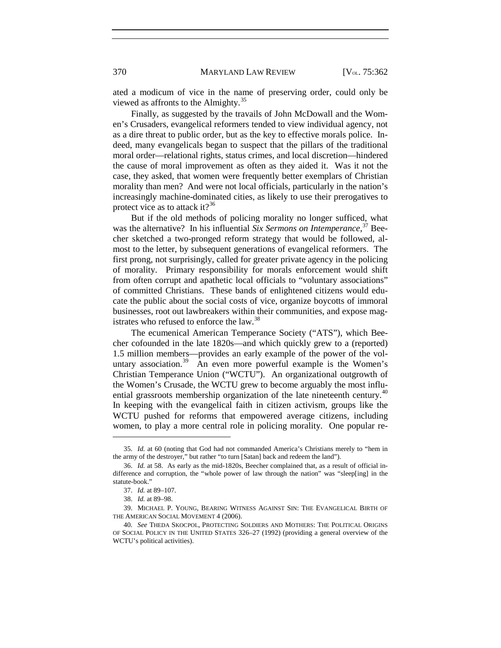ated a modicum of vice in the name of preserving order, could only be viewed as affronts to the Almighty.<sup>[35](#page-9-0)</sup>

Finally, as suggested by the travails of John McDowall and the Women's Crusaders, evangelical reformers tended to view individual agency, not as a dire threat to public order, but as the key to effective morals police. Indeed, many evangelicals began to suspect that the pillars of the traditional moral order—relational rights, status crimes, and local discretion—hindered the cause of moral improvement as often as they aided it. Was it not the case, they asked, that women were frequently better exemplars of Christian morality than men? And were not local officials, particularly in the nation's increasingly machine-dominated cities, as likely to use their prerogatives to protect vice as to attack it?<sup>[36](#page-9-1)</sup>

But if the old methods of policing morality no longer sufficed, what was the alternative? In his influential *Six Sermons on Intemperance*, [37](#page-9-2) Beecher sketched a two-pronged reform strategy that would be followed, almost to the letter, by subsequent generations of evangelical reformers. The first prong, not surprisingly, called for greater private agency in the policing of morality. Primary responsibility for morals enforcement would shift from often corrupt and apathetic local officials to "voluntary associations" of committed Christians. These bands of enlightened citizens would educate the public about the social costs of vice, organize boycotts of immoral businesses, root out lawbreakers within their communities, and expose mag-istrates who refused to enforce the law.<sup>[38](#page-9-3)</sup>

The ecumenical American Temperance Society ("ATS"), which Beecher cofounded in the late 1820s—and which quickly grew to a (reported) 1.5 million members—provides an early example of the power of the vol-untary association.<sup>[39](#page-9-4)</sup> An even more powerful example is the Women's Christian Temperance Union ("WCTU"). An organizational outgrowth of the Women's Crusade, the WCTU grew to become arguably the most influ-ential grassroots membership organization of the late nineteenth century.<sup>[40](#page-9-5)</sup> In keeping with the evangelical faith in citizen activism, groups like the WCTU pushed for reforms that empowered average citizens, including women, to play a more central role in policing morality. One popular re-

<span id="page-9-0"></span><sup>35.</sup> *Id.* at 60 (noting that God had not commanded America's Christians merely to "hem in the army of the destroyer," but rather "to turn [Satan] back and redeem the land").

<span id="page-9-1"></span><sup>36.</sup> *Id.* at 58. As early as the mid-1820s, Beecher complained that, as a result of official indifference and corruption, the "whole power of law through the nation" was "sleep[ing] in the statute-book."

<sup>37.</sup> *Id.* at 89–107.

<sup>38.</sup> *Id.* at 89–98.

<span id="page-9-4"></span><span id="page-9-3"></span><span id="page-9-2"></span><sup>39.</sup> MICHAEL P. YOUNG, BEARING WITNESS AGAINST SIN: THE EVANGELICAL BIRTH OF THE AMERICAN SOCIAL MOVEMENT 4 (2006).

<span id="page-9-5"></span><sup>40.</sup> *See* THEDA SKOCPOL, PROTECTING SOLDIERS AND MOTHERS: THE POLITICAL ORIGINS OF SOCIAL POLICY IN THE UNITED STATES 326–27 (1992) (providing a general overview of the WCTU's political activities).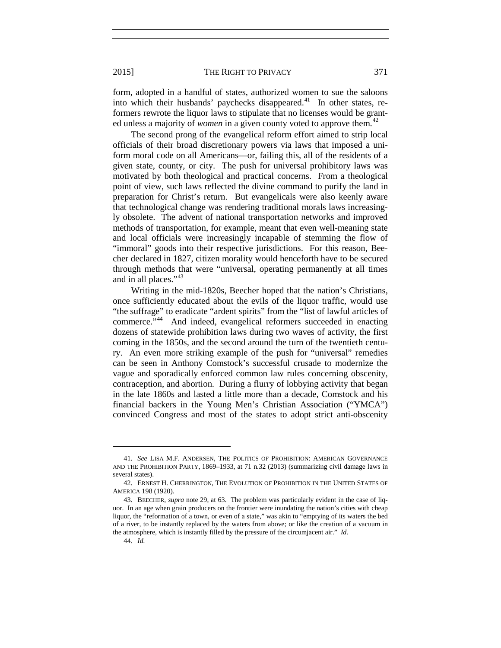form, adopted in a handful of states, authorized women to sue the saloons into which their husbands' paychecks disappeared. $^{41}$  $^{41}$  $^{41}$  In other states, reformers rewrote the liquor laws to stipulate that no licenses would be granted unless a majority of *women* in a given county voted to approve them.<sup>[42](#page-10-1)</sup>

The second prong of the evangelical reform effort aimed to strip local officials of their broad discretionary powers via laws that imposed a uniform moral code on all Americans—or, failing this, all of the residents of a given state, county, or city. The push for universal prohibitory laws was motivated by both theological and practical concerns. From a theological point of view, such laws reflected the divine command to purify the land in preparation for Christ's return. But evangelicals were also keenly aware that technological change was rendering traditional morals laws increasingly obsolete. The advent of national transportation networks and improved methods of transportation, for example, meant that even well-meaning state and local officials were increasingly incapable of stemming the flow of "immoral" goods into their respective jurisdictions. For this reason, Beecher declared in 1827, citizen morality would henceforth have to be secured through methods that were "universal, operating permanently at all times and in all places."<sup>[43](#page-10-2)</sup>

Writing in the mid-1820s, Beecher hoped that the nation's Christians, once sufficiently educated about the evils of the liquor traffic, would use "the suffrage" to eradicate "ardent spirits" from the "list of lawful articles of commerce."[44](#page-10-3) And indeed, evangelical reformers succeeded in enacting dozens of statewide prohibition laws during two waves of activity, the first coming in the 1850s, and the second around the turn of the twentieth century. An even more striking example of the push for "universal" remedies can be seen in Anthony Comstock's successful crusade to modernize the vague and sporadically enforced common law rules concerning obscenity, contraception, and abortion. During a flurry of lobbying activity that began in the late 1860s and lasted a little more than a decade, Comstock and his financial backers in the Young Men's Christian Association ("YMCA") convinced Congress and most of the states to adopt strict anti-obscenity

44. *Id.*

<span id="page-10-0"></span><sup>41.</sup> *See* LISA M.F. ANDERSEN, THE POLITICS OF PROHIBITION: AMERICAN GOVERNANCE AND THE PROHIBITION PARTY, 1869–1933, at 71 n.32 (2013) (summarizing civil damage laws in several states).

<span id="page-10-1"></span><sup>42.</sup> ERNEST H. CHERRINGTON, THE EVOLUTION OF PROHIBITION IN THE UNITED STATES OF AMERICA 198 (1920).

<span id="page-10-3"></span><span id="page-10-2"></span><sup>43.</sup> BEECHER, *supra* not[e 29,](#page-8-0) at 63. The problem was particularly evident in the case of liquor. In an age when grain producers on the frontier were inundating the nation's cities with cheap liquor, the "reformation of a town, or even of a state," was akin to "emptying of its waters the bed of a river, to be instantly replaced by the waters from above; or like the creation of a vacuum in the atmosphere, which is instantly filled by the pressure of the circumjacent air." *Id.*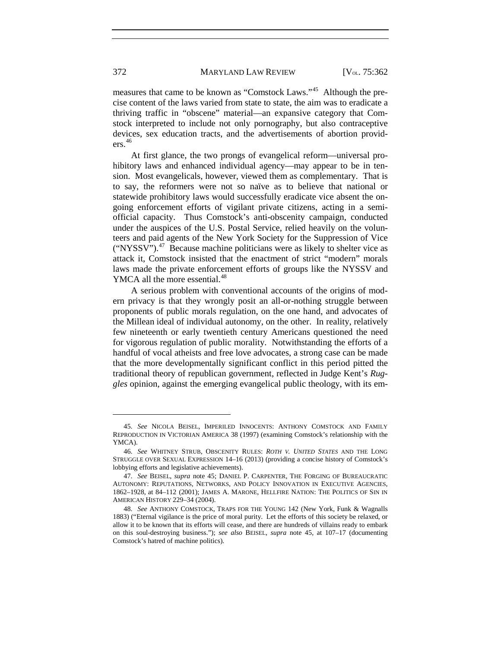measures that came to be known as "Comstock Laws."[45](#page-11-1) Although the precise content of the laws varied from state to state, the aim was to eradicate a thriving traffic in "obscene" material—an expansive category that Comstock interpreted to include not only pornography, but also contraceptive devices, sex education tracts, and the advertisements of abortion providers.[46](#page-11-2)

At first glance, the two prongs of evangelical reform—universal prohibitory laws and enhanced individual agency—may appear to be in tension. Most evangelicals, however, viewed them as complementary. That is to say, the reformers were not so naïve as to believe that national or statewide prohibitory laws would successfully eradicate vice absent the ongoing enforcement efforts of vigilant private citizens, acting in a semiofficial capacity. Thus Comstock's anti-obscenity campaign, conducted under the auspices of the U.S. Postal Service, relied heavily on the volunteers and paid agents of the New York Society for the Suppression of Vice ("NYSSV").[47](#page-11-3) Because machine politicians were as likely to shelter vice as attack it, Comstock insisted that the enactment of strict "modern" morals laws made the private enforcement efforts of groups like the NYSSV and YMCA all the more essential.<sup>[48](#page-11-4)</sup>

A serious problem with conventional accounts of the origins of modern privacy is that they wrongly posit an all-or-nothing struggle between proponents of public morals regulation, on the one hand, and advocates of the Millean ideal of individual autonomy, on the other. In reality, relatively few nineteenth or early twentieth century Americans questioned the need for vigorous regulation of public morality. Notwithstanding the efforts of a handful of vocal atheists and free love advocates, a strong case can be made that the more developmentally significant conflict in this period pitted the traditional theory of republican government, reflected in Judge Kent's *Ruggles* opinion, against the emerging evangelical public theology, with its em-

<span id="page-11-0"></span>

<span id="page-11-1"></span><sup>45.</sup> *See* NICOLA BEISEL, IMPERILED INNOCENTS: ANTHONY COMSTOCK AND FAMILY REPRODUCTION IN VICTORIAN AMERICA 38 (1997) (examining Comstock's relationship with the YMCA).

<span id="page-11-2"></span><sup>46.</sup> *See* WHITNEY STRUB, OBSCENITY RULES: *ROTH V. UNITED STATES* AND THE LONG STRUGGLE OVER SEXUAL EXPRESSION 14–16 (2013) (providing a concise history of Comstock's lobbying efforts and legislative achievements).

<span id="page-11-3"></span><sup>47.</sup> *See* BEISEL, *supra* note [45;](#page-11-0) DANIEL P. CARPENTER, THE FORGING OF BUREAUCRATIC AUTONOMY: REPUTATIONS, NETWORKS, AND POLICY INNOVATION IN EXECUTIVE AGENCIES, 1862–1928, at 84–112 (2001); JAMES A. MARONE, HELLFIRE NATION: THE POLITICS OF SIN IN AMERICAN HISTORY 229–34 (2004).

<span id="page-11-4"></span><sup>48.</sup> *See* ANTHONY COMSTOCK, TRAPS FOR THE YOUNG 142 (New York, Funk & Wagnalls 1883) ("Eternal vigilance is the price of moral purity. Let the efforts of this society be relaxed, or allow it to be known that its efforts will cease, and there are hundreds of villains ready to embark on this soul-destroying business."); *see also* BEISEL, *supra* note [45,](#page-11-0) at 107–17 (documenting Comstock's hatred of machine politics).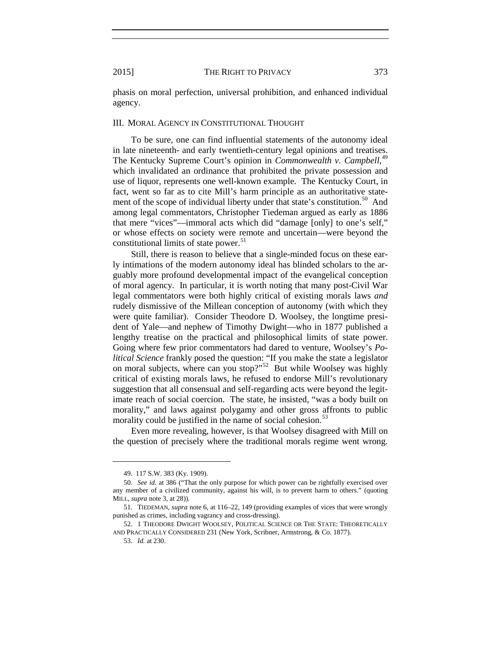phasis on moral perfection, universal prohibition, and enhanced individual agency.

#### III. MORAL AGENCY IN CONSTITUTIONAL THOUGHT

To be sure, one can find influential statements of the autonomy ideal in late nineteenth- and early twentieth-century legal opinions and treatises. The Kentucky Supreme Court's opinion in *Commonwealth v. Campbell*,<sup>[49](#page-12-0)</sup> which invalidated an ordinance that prohibited the private possession and use of liquor, represents one well-known example. The Kentucky Court, in fact, went so far as to cite Mill's harm principle as an authoritative statement of the scope of individual liberty under that state's constitution.<sup>50</sup> And among legal commentators, Christopher Tiedeman argued as early as 1886 that mere "vices"—immoral acts which did "damage [only] to one's self," or whose effects on society were remote and uncertain—were beyond the constitutional limits of state power.<sup>[51](#page-12-2)</sup>

Still, there is reason to believe that a single-minded focus on these early intimations of the modern autonomy ideal has blinded scholars to the arguably more profound developmental impact of the evangelical conception of moral agency. In particular, it is worth noting that many post-Civil War legal commentators were both highly critical of existing morals laws *and* rudely dismissive of the Millean conception of autonomy (with which they were quite familiar). Consider Theodore D. Woolsey, the longtime president of Yale—and nephew of Timothy Dwight—who in 1877 published a lengthy treatise on the practical and philosophical limits of state power. Going where few prior commentators had dared to venture, Woolsey's *Political Science* frankly posed the question: "If you make the state a legislator on moral subjects, where can you stop?"<sup>[52](#page-12-3)</sup> But while Woolsey was highly critical of existing morals laws, he refused to endorse Mill's revolutionary suggestion that all consensual and self-regarding acts were beyond the legitimate reach of social coercion. The state, he insisted, "was a body built on morality," and laws against polygamy and other gross affronts to public morality could be justified in the name of social cohesion. $53$ 

Even more revealing, however, is that Woolsey disagreed with Mill on the question of precisely where the traditional morals regime went wrong.

<sup>49.</sup> 117 S.W. 383 (Ky. 1909).

<span id="page-12-1"></span><span id="page-12-0"></span><sup>50.</sup> *See id.* at 386 ("That the only purpose for which power can be rightfully exercised over any member of a civilized community, against his will, is to prevent harm to others." (quoting MILL, *supra* note [3,](#page-1-7) at 28)).

<span id="page-12-2"></span><sup>51.</sup> TIEDEMAN, *supra* not[e 6,](#page-2-9) at 116–22, 149 (providing examples of vices that were wrongly punished as crimes, including vagrancy and cross-dressing).

<span id="page-12-4"></span><span id="page-12-3"></span><sup>52.</sup> 1 THEODORE DWIGHT WOOLSEY, POLITICAL SCIENCE OR THE STATE: THEORETICALLY AND PRACTICALLY CONSIDERED 231 (New York, Scribner, Armstrong, & Co. 1877).

<sup>53.</sup> *Id.* at 230.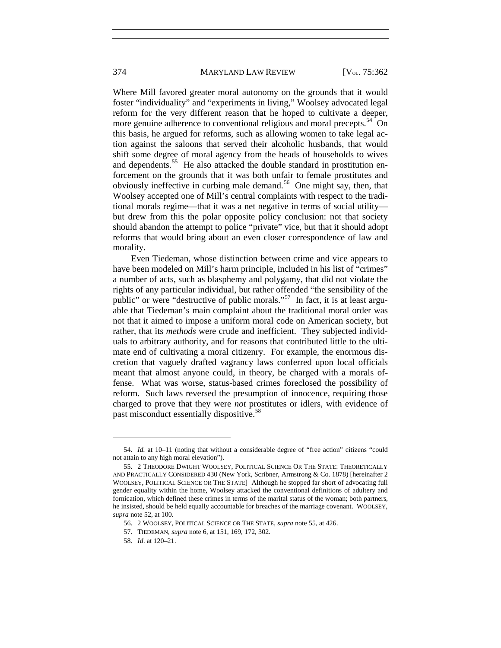Where Mill favored greater moral autonomy on the grounds that it would foster "individuality" and "experiments in living," Woolsey advocated legal reform for the very different reason that he hoped to cultivate a deeper, more genuine adherence to conventional religious and moral precepts.<sup>54</sup> On this basis, he argued for reforms, such as allowing women to take legal action against the saloons that served their alcoholic husbands, that would shift some degree of moral agency from the heads of households to wives and dependents.<sup>[55](#page-13-1)</sup> He also attacked the double standard in prostitution enforcement on the grounds that it was both unfair to female prostitutes and obviously ineffective in curbing male demand.<sup>[56](#page-13-2)</sup> One might say, then, that Woolsey accepted one of Mill's central complaints with respect to the traditional morals regime—that it was a net negative in terms of social utility but drew from this the polar opposite policy conclusion: not that society should abandon the attempt to police "private" vice, but that it should adopt reforms that would bring about an even closer correspondence of law and morality.

Even Tiedeman, whose distinction between crime and vice appears to have been modeled on Mill's harm principle, included in his list of "crimes" a number of acts, such as blasphemy and polygamy, that did not violate the rights of any particular individual, but rather offended "the sensibility of the public" or were "destructive of public morals."[57](#page-13-3) In fact, it is at least arguable that Tiedeman's main complaint about the traditional moral order was not that it aimed to impose a uniform moral code on American society, but rather, that its *methods* were crude and inefficient. They subjected individuals to arbitrary authority, and for reasons that contributed little to the ultimate end of cultivating a moral citizenry. For example, the enormous discretion that vaguely drafted vagrancy laws conferred upon local officials meant that almost anyone could, in theory, be charged with a morals offense. What was worse, status-based crimes foreclosed the possibility of reform. Such laws reversed the presumption of innocence, requiring those charged to prove that they were *not* prostitutes or idlers, with evidence of past misconduct essentially dispositive.<sup>[58](#page-13-4)</sup>

<span id="page-13-0"></span><sup>54.</sup> *Id.* at 10–11 (noting that without a considerable degree of "free action" citizens "could not attain to any high moral elevation").

<span id="page-13-1"></span><sup>55.</sup> 2 THEODORE DWIGHT WOOLSEY, POLITICAL SCIENCE OR THE STATE: THEORETICALLY AND PRACTICALLY CONSIDERED 430 (New York, Scribner, Armstrong & Co. 1878) [hereinafter 2 WOOLSEY, POLITICAL SCIENCE OR THE STATE] Although he stopped far short of advocating full gender equality within the home, Woolsey attacked the conventional definitions of adultery and fornication, which defined these crimes in terms of the marital status of the woman; both partners, he insisted, should be held equally accountable for breaches of the marriage covenant. WOOLSEY, *supra* note 52, at 100.

<span id="page-13-2"></span><sup>56.</sup> 2 WOOLSEY, POLITICAL SCIENCE OR THE STATE, *supra* note 55, at 426.

<sup>57.</sup> TIEDEMAN, *supra* note [6,](#page-2-9) at 151, 169, 172, 302.

<span id="page-13-4"></span><span id="page-13-3"></span><sup>58.</sup> *Id*. at 120–21.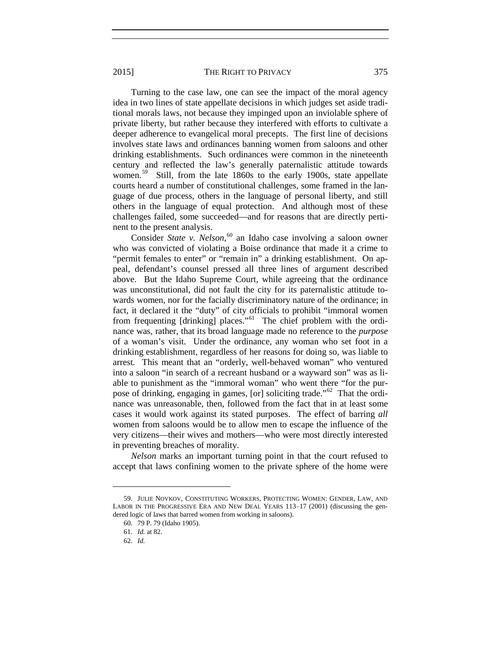Turning to the case law, one can see the impact of the moral agency idea in two lines of state appellate decisions in which judges set aside traditional morals laws, not because they impinged upon an inviolable sphere of private liberty, but rather because they interfered with efforts to cultivate a deeper adherence to evangelical moral precepts. The first line of decisions involves state laws and ordinances banning women from saloons and other drinking establishments. Such ordinances were common in the nineteenth

century and reflected the law's generally paternalistic attitude towards women.<sup>59</sup> Still, from the late 1860s to the early 1900s, state appellate courts heard a number of constitutional challenges, some framed in the language of due process, others in the language of personal liberty, and still others in the language of equal protection. And although most of these challenges failed, some succeeded—and for reasons that are directly pertinent to the present analysis.

Consider *State v. Nelson*, [60](#page-14-1) an Idaho case involving a saloon owner who was convicted of violating a Boise ordinance that made it a crime to "permit females to enter" or "remain in" a drinking establishment. On appeal, defendant's counsel pressed all three lines of argument described above. But the Idaho Supreme Court, while agreeing that the ordinance was unconstitutional, did not fault the city for its paternalistic attitude towards women, nor for the facially discriminatory nature of the ordinance; in fact, it declared it the "duty" of city officials to prohibit "immoral women from frequenting [drinking] places."<sup>[61](#page-14-2)</sup> The chief problem with the ordinance was, rather, that its broad language made no reference to the *purpose*  of a woman's visit. Under the ordinance, any woman who set foot in a drinking establishment, regardless of her reasons for doing so, was liable to arrest. This meant that an "orderly, well-behaved woman" who ventured into a saloon "in search of a recreant husband or a wayward son" was as liable to punishment as the "immoral woman" who went there "for the purpose of drinking, engaging in games, [or] soliciting trade."[62](#page-14-3) That the ordinance was unreasonable, then, followed from the fact that in at least some cases it would work against its stated purposes. The effect of barring *all* women from saloons would be to allow men to escape the influence of the very citizens—their wives and mothers—who were most directly interested in preventing breaches of morality.

*Nelson* marks an important turning point in that the court refused to accept that laws confining women to the private sphere of the home were

<span id="page-14-3"></span><span id="page-14-2"></span><span id="page-14-1"></span><span id="page-14-0"></span><sup>59.</sup> JULIE NOVKOV, CONSTITUTING WORKERS, PROTECTING WOMEN: GENDER, LAW, AND LABOR IN THE PROGRESSIVE ERA AND NEW DEAL YEARS 113–17 (2001) (discussing the gendered logic of laws that barred women from working in saloons).

<sup>60.</sup> 79 P. 79 (Idaho 1905).

<sup>61.</sup> *Id.* at 82.

<sup>62.</sup> *Id.*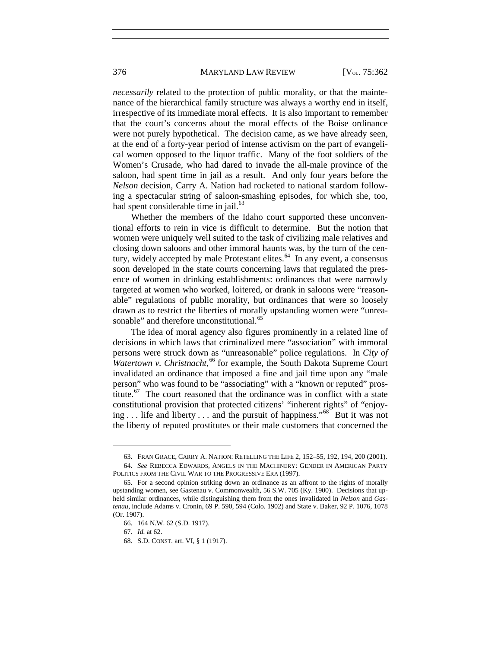#### 376 MARYLAND LAW REVIEW [V<sub>OL.</sub> 75:362]

*necessarily* related to the protection of public morality, or that the maintenance of the hierarchical family structure was always a worthy end in itself, irrespective of its immediate moral effects. It is also important to remember that the court's concerns about the moral effects of the Boise ordinance were not purely hypothetical. The decision came, as we have already seen, at the end of a forty-year period of intense activism on the part of evangelical women opposed to the liquor traffic. Many of the foot soldiers of the Women's Crusade, who had dared to invade the all-male province of the saloon, had spent time in jail as a result. And only four years before the *Nelson* decision, Carry A. Nation had rocketed to national stardom following a spectacular string of saloon-smashing episodes, for which she, too, had spent considerable time in jail. $63$ 

Whether the members of the Idaho court supported these unconventional efforts to rein in vice is difficult to determine. But the notion that women were uniquely well suited to the task of civilizing male relatives and closing down saloons and other immoral haunts was, by the turn of the century, widely accepted by male Protestant elites. $64$  In any event, a consensus soon developed in the state courts concerning laws that regulated the presence of women in drinking establishments: ordinances that were narrowly targeted at women who worked, loitered, or drank in saloons were "reasonable" regulations of public morality, but ordinances that were so loosely drawn as to restrict the liberties of morally upstanding women were "unrea-sonable" and therefore unconstitutional.<sup>[65](#page-15-2)</sup>

The idea of moral agency also figures prominently in a related line of decisions in which laws that criminalized mere "association" with immoral persons were struck down as "unreasonable" police regulations. In *City of*  Watertown v. Christnacht,<sup>[66](#page-15-3)</sup> for example, the South Dakota Supreme Court invalidated an ordinance that imposed a fine and jail time upon any "male person" who was found to be "associating" with a "known or reputed" prostitute.<sup>67</sup> The court reasoned that the ordinance was in conflict with a state constitutional provision that protected citizens' "inherent rights" of "enjoying  $\ldots$  life and liberty  $\ldots$  and the pursuit of happiness."<sup>[68](#page-15-5)</sup> But it was not the liberty of reputed prostitutes or their male customers that concerned the

<sup>63.</sup> FRAN GRACE, CARRY A. NATION: RETELLING THE LIFE 2, 152–55, 192, 194, 200 (2001).

<span id="page-15-1"></span><span id="page-15-0"></span><sup>64.</sup> *See* REBECCA EDWARDS, ANGELS IN THE MACHINERY: GENDER IN AMERICAN PARTY POLITICS FROM THE CIVIL WAR TO THE PROGRESSIVE ERA (1997).

<span id="page-15-4"></span><span id="page-15-3"></span><span id="page-15-2"></span><sup>65.</sup> For a second opinion striking down an ordinance as an affront to the rights of morally upstanding women, see Gastenau v. Commonwealth, 56 S.W. 705 (Ky. 1900). Decisions that upheld similar ordinances, while distinguishing them from the ones invalidated in *Nelson* and *Gastenau*, include Adams v. Cronin, 69 P. 590, 594 (Colo. 1902) and State v. Baker, 92 P. 1076, 1078 (Or. 1907).

<sup>66.</sup> 164 N.W. 62 (S.D. 1917).

<sup>67.</sup> *Id.* at 62.

<span id="page-15-5"></span><sup>68.</sup> S.D. CONST. art. VI, § 1 (1917).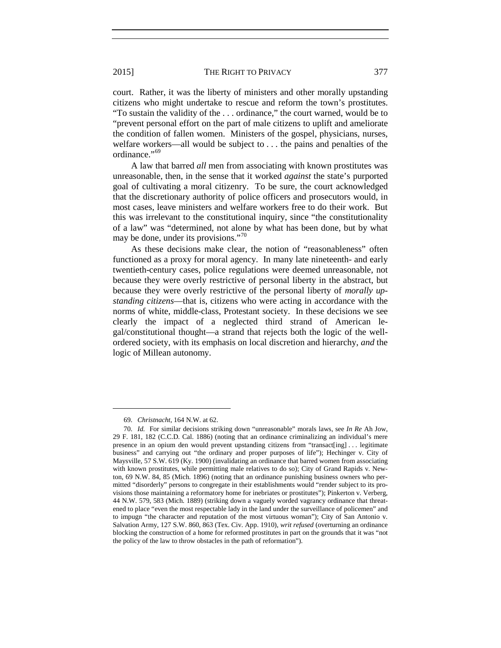court. Rather, it was the liberty of ministers and other morally upstanding citizens who might undertake to rescue and reform the town's prostitutes. "To sustain the validity of the . . . ordinance," the court warned, would be to "prevent personal effort on the part of male citizens to uplift and ameliorate the condition of fallen women. Ministers of the gospel, physicians, nurses, welfare workers—all would be subject to . . . the pains and penalties of the ordinance."<sup>[69](#page-16-0)</sup>

A law that barred *all* men from associating with known prostitutes was unreasonable, then, in the sense that it worked *against* the state's purported goal of cultivating a moral citizenry. To be sure, the court acknowledged that the discretionary authority of police officers and prosecutors would, in most cases, leave ministers and welfare workers free to do their work. But this was irrelevant to the constitutional inquiry, since "the constitutionality of a law" was "determined, not alone by what has been done, but by what may be done, under its provisions."<sup>[70](#page-16-1)</sup>

As these decisions make clear, the notion of "reasonableness" often functioned as a proxy for moral agency. In many late nineteenth- and early twentieth-century cases, police regulations were deemed unreasonable, not because they were overly restrictive of personal liberty in the abstract, but because they were overly restrictive of the personal liberty of *morally upstanding citizens*—that is, citizens who were acting in accordance with the norms of white, middle-class, Protestant society. In these decisions we see clearly the impact of a neglected third strand of American legal/constitutional thought—a strand that rejects both the logic of the wellordered society, with its emphasis on local discretion and hierarchy, *and* the logic of Millean autonomy.

<sup>69.</sup> *Christnacht*, 164 N.W. at 62.

<span id="page-16-1"></span><span id="page-16-0"></span><sup>70.</sup> *Id.* For similar decisions striking down "unreasonable" morals laws, see *In Re* Ah Jow, 29 F. 181, 182 (C.C.D. Cal. 1886) (noting that an ordinance criminalizing an individual's mere presence in an opium den would prevent upstanding citizens from "transact[ing] . . . legitimate business" and carrying out "the ordinary and proper purposes of life"); Hechinger v. City of Maysville*,* 57 S.W. 619 (Ky. 1900) (invalidating an ordinance that barred women from associating with known prostitutes, while permitting male relatives to do so); City of Grand Rapids v. Newton, 69 N.W. 84, 85 (Mich. 1896) (noting that an ordinance punishing business owners who permitted "disorderly" persons to congregate in their establishments would "render subject to its provisions those maintaining a reformatory home for inebriates or prostitutes"); Pinkerton v. Verberg, 44 N.W. 579, 583 (Mich. 1889) (striking down a vaguely worded vagrancy ordinance that threatened to place "even the most respectable lady in the land under the surveillance of policemen" and to impugn "the character and reputation of the most virtuous woman"); City of San Antonio v. Salvation Army, 127 S.W. 860, 863 (Tex. Civ. App. 1910), *writ refused* (overturning an ordinance blocking the construction of a home for reformed prostitutes in part on the grounds that it was "not the policy of the law to throw obstacles in the path of reformation").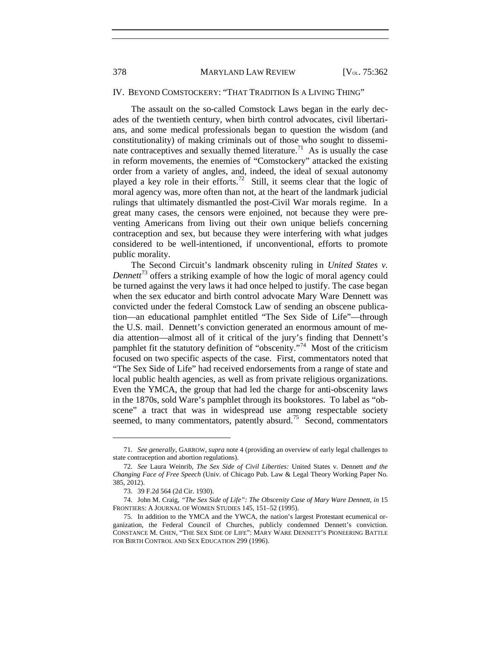#### IV. BEYOND COMSTOCKERY: "THAT TRADITION IS A LIVING THING"

The assault on the so-called Comstock Laws began in the early decades of the twentieth century, when birth control advocates, civil libertarians, and some medical professionals began to question the wisdom (and constitutionality) of making criminals out of those who sought to disseminate contraceptives and sexually themed literature.<sup>71</sup> As is usually the case in reform movements, the enemies of "Comstockery" attacked the existing order from a variety of angles, and, indeed, the ideal of sexual autonomy played a key role in their efforts.<sup>72</sup> Still, it seems clear that the logic of moral agency was, more often than not, at the heart of the landmark judicial rulings that ultimately dismantled the post-Civil War morals regime. In a great many cases, the censors were enjoined, not because they were preventing Americans from living out their own unique beliefs concerning contraception and sex, but because they were interfering with what judges considered to be well-intentioned, if unconventional, efforts to promote public morality.

The Second Circuit's landmark obscenity ruling in *United States v. Dennett*[73](#page-17-2) offers a striking example of how the logic of moral agency could be turned against the very laws it had once helped to justify. The case began when the sex educator and birth control advocate Mary Ware Dennett was convicted under the federal Comstock Law of sending an obscene publication—an educational pamphlet entitled "The Sex Side of Life"—through the U.S. mail. Dennett's conviction generated an enormous amount of media attention—almost all of it critical of the jury's finding that Dennett's pamphlet fit the statutory definition of "obscenity."<sup>[74](#page-17-3)</sup> Most of the criticism focused on two specific aspects of the case. First, commentators noted that "The Sex Side of Life" had received endorsements from a range of state and local public health agencies, as well as from private religious organizations. Even the YMCA, the group that had led the charge for anti-obscenity laws in the 1870s, sold Ware's pamphlet through its bookstores. To label as "obscene" a tract that was in widespread use among respectable society seemed, to many commentators, patently absurd.<sup>[75](#page-17-4)</sup> Second, commentators

<span id="page-17-0"></span><sup>71.</sup> *See generally*, GARROW, *supra* not[e 4](#page-1-6) (providing an overview of early legal challenges to state contraception and abortion regulations).

<span id="page-17-1"></span><sup>72.</sup> *See* Laura Weinrib, *The Sex Side of Civil Liberties:* United States v. Dennett *and the Changing Face of Free Speech* (Univ. of Chicago Pub. Law & Legal Theory Working Paper No. 385, 2012).

<sup>73.</sup> 39 F.2d 564 (2d Cir. 1930).

<span id="page-17-3"></span><span id="page-17-2"></span><sup>74.</sup> John M. Craig, *"The Sex Side of Life": The Obscenity Case of Mary Ware Dennett*, *in* 15 FRONTIERS: A JOURNAL OF WOMEN STUDIES 145, 151–52 (1995).

<span id="page-17-4"></span><sup>75.</sup> In addition to the YMCA and the YWCA, the nation's largest Protestant ecumenical organization, the Federal Council of Churches, publicly condemned Dennett's conviction. CONSTANCE M. CHEN, "THE SEX SIDE OF LIFE": MARY WARE DENNETT'S PIONEERING BATTLE FOR BIRTH CONTROL AND SEX EDUCATION 299 (1996).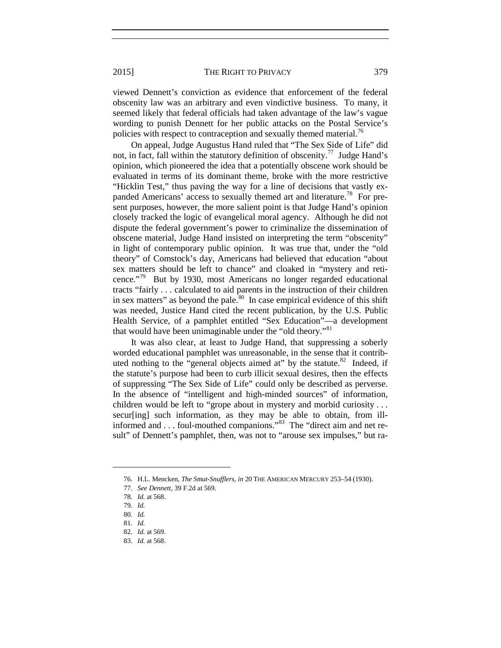viewed Dennett's conviction as evidence that enforcement of the federal obscenity law was an arbitrary and even vindictive business. To many, it seemed likely that federal officials had taken advantage of the law's vague wording to punish Dennett for her public attacks on the Postal Service's policies with respect to contraception and sexually themed material.<sup>[76](#page-18-0)</sup>

On appeal, Judge Augustus Hand ruled that "The Sex Side of Life" did not, in fact, fall within the statutory definition of obscenity.<sup>77</sup> Judge Hand's opinion, which pioneered the idea that a potentially obscene work should be evaluated in terms of its dominant theme, broke with the more restrictive "Hicklin Test," thus paving the way for a line of decisions that vastly expanded Americans' access to sexually themed art and literature.<sup>78</sup> For present purposes, however, the more salient point is that Judge Hand's opinion closely tracked the logic of evangelical moral agency. Although he did not dispute the federal government's power to criminalize the dissemination of obscene material, Judge Hand insisted on interpreting the term "obscenity" in light of contemporary public opinion. It was true that, under the "old theory" of Comstock's day, Americans had believed that education "about sex matters should be left to chance" and cloaked in "mystery and reticence."[79](#page-18-3) But by 1930, most Americans no longer regarded educational tracts "fairly . . . calculated to aid parents in the instruction of their children in sex matters" as beyond the pale.<sup>80</sup> In case empirical evidence of this shift was needed, Justice Hand cited the recent publication, by the U.S. Public Health Service, of a pamphlet entitled "Sex Education"—a development that would have been unimaginable under the "old theory."<sup>[81](#page-18-5)</sup>

It was also clear, at least to Judge Hand, that suppressing a soberly worded educational pamphlet was unreasonable, in the sense that it contributed nothing to the "general objects aimed at" by the statute. $82$  Indeed, if the statute's purpose had been to curb illicit sexual desires, then the effects of suppressing "The Sex Side of Life" could only be described as perverse. In the absence of "intelligent and high-minded sources" of information, children would be left to "grope about in mystery and morbid curiosity . . . secur[ing] such information, as they may be able to obtain, from illinformed and . . . foul-mouthed companions."<sup>83</sup> The "direct aim and net result" of Dennett's pamphlet, then, was not to "arouse sex impulses," but ra-

<span id="page-18-0"></span><sup>76.</sup> H.L. Mencken, *The Smut-Snufflers*, *in* 20 THE AMERICAN MERCURY 253–54 (1930).

<sup>77.</sup> *See Dennett*, 39 F.2d at 569.

<span id="page-18-2"></span><span id="page-18-1"></span><sup>78.</sup> *Id.* at 568.

<span id="page-18-3"></span><sup>79.</sup> *Id.*

<span id="page-18-4"></span><sup>80.</sup> *Id.*

<span id="page-18-6"></span><span id="page-18-5"></span><sup>81.</sup> *Id.*

<sup>82.</sup> *Id.* at 569.

<span id="page-18-7"></span><sup>83.</sup> *Id.* at 568.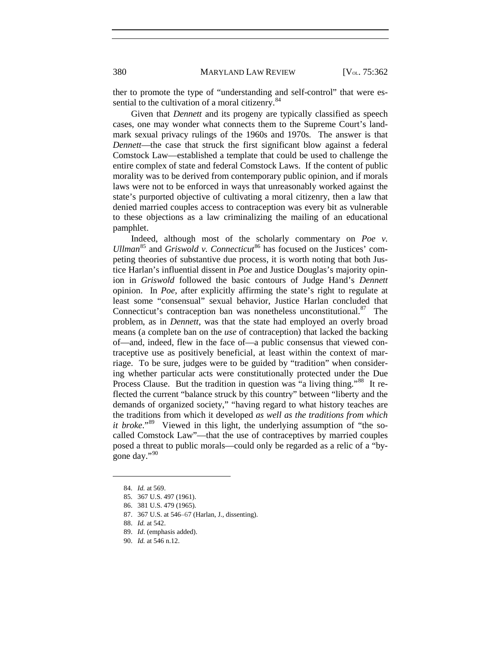ther to promote the type of "understanding and self-control" that were es-sential to the cultivation of a moral citizenry.<sup>[84](#page-19-0)</sup>

Given that *Dennett* and its progeny are typically classified as speech cases, one may wonder what connects them to the Supreme Court's landmark sexual privacy rulings of the 1960s and 1970s. The answer is that *Dennett*—the case that struck the first significant blow against a federal Comstock Law—established a template that could be used to challenge the entire complex of state and federal Comstock Laws. If the content of public morality was to be derived from contemporary public opinion, and if morals laws were not to be enforced in ways that unreasonably worked against the state's purported objective of cultivating a moral citizenry, then a law that denied married couples access to contraception was every bit as vulnerable to these objections as a law criminalizing the mailing of an educational pamphlet.

Indeed, although most of the scholarly commentary on *Poe v. Ullman*<sup>[85](#page-19-1)</sup> and *Griswold v. Connecticut*<sup>[86](#page-19-2)</sup> has focused on the Justices' competing theories of substantive due process, it is worth noting that both Justice Harlan's influential dissent in *Poe* and Justice Douglas's majority opinion in *Griswold* followed the basic contours of Judge Hand's *Dennett*  opinion. In *Poe*, after explicitly affirming the state's right to regulate at least some "consensual" sexual behavior, Justice Harlan concluded that Connecticut's contraception ban was nonetheless unconstitutional.<sup>87</sup> The problem, as in *Dennett*, was that the state had employed an overly broad means (a complete ban on the *use* of contraception) that lacked the backing of—and, indeed, flew in the face of—a public consensus that viewed contraceptive use as positively beneficial, at least within the context of marriage. To be sure, judges were to be guided by "tradition" when considering whether particular acts were constitutionally protected under the Due Process Clause. But the tradition in question was "a living thing."<sup>88</sup> It reflected the current "balance struck by this country" between "liberty and the demands of organized society," "having regard to what history teaches are the traditions from which it developed *as well as the traditions from which it broke*."<sup>89</sup> Viewed in this light, the underlying assumption of "the socalled Comstock Law"—that the use of contraceptives by married couples posed a threat to public morals—could only be regarded as a relic of a "by-gone day."<sup>[90](#page-19-6)</sup>

<span id="page-19-4"></span><span id="page-19-3"></span><span id="page-19-2"></span><span id="page-19-1"></span><span id="page-19-0"></span> $\overline{a}$ 

<span id="page-19-6"></span>90. *Id.* at 546 n.12.

<sup>84.</sup> *Id.* at 569.

<sup>85.</sup> 367 U.S. 497 (1961).

<sup>86.</sup> 381 U.S. 479 (1965).

<sup>87.</sup> 367 U.S. at 546–67 (Harlan, J., dissenting).

<sup>88.</sup> *Id.* at 542.

<span id="page-19-5"></span><sup>89.</sup> *Id*. (emphasis added).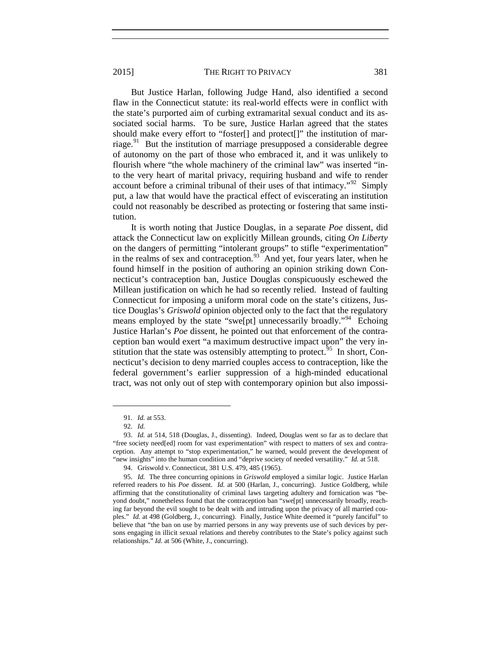But Justice Harlan, following Judge Hand, also identified a second flaw in the Connecticut statute: its real-world effects were in conflict with the state's purported aim of curbing extramarital sexual conduct and its associated social harms. To be sure, Justice Harlan agreed that the states should make every effort to "foster[] and protect[]" the institution of mar-riage.<sup>[91](#page-20-0)</sup> But the institution of marriage presupposed a considerable degree of autonomy on the part of those who embraced it, and it was unlikely to flourish where "the whole machinery of the criminal law" was inserted "into the very heart of marital privacy, requiring husband and wife to render account before a criminal tribunal of their uses of that intimacy."[92](#page-20-1) Simply put, a law that would have the practical effect of eviscerating an institution could not reasonably be described as protecting or fostering that same institution.

It is worth noting that Justice Douglas, in a separate *Poe* dissent, did attack the Connecticut law on explicitly Millean grounds, citing *On Liberty* on the dangers of permitting "intolerant groups" to stifle "experimentation" in the realms of sex and contraception.<sup>[93](#page-20-2)</sup> And yet, four years later, when he found himself in the position of authoring an opinion striking down Connecticut's contraception ban, Justice Douglas conspicuously eschewed the Millean justification on which he had so recently relied. Instead of faulting Connecticut for imposing a uniform moral code on the state's citizens, Justice Douglas's *Griswold* opinion objected only to the fact that the regulatory means employed by the state "swe[pt] unnecessarily broadly."<sup>[94](#page-20-3)</sup> Echoing Justice Harlan's *Poe* dissent, he pointed out that enforcement of the contraception ban would exert "a maximum destructive impact upon" the very in-stitution that the state was ostensibly attempting to protect.<sup>[95](#page-20-4)</sup> In short, Connecticut's decision to deny married couples access to contraception, like the federal government's earlier suppression of a high-minded educational tract, was not only out of step with contemporary opinion but also impossi-

<sup>91.</sup> *Id.* at 553.

<sup>92.</sup> *Id.* 

<span id="page-20-2"></span><span id="page-20-1"></span><span id="page-20-0"></span><sup>93.</sup> *Id.* at 514, 518 (Douglas, J., dissenting). Indeed, Douglas went so far as to declare that "free society need[ed] room for vast experimentation" with respect to matters of sex and contraception. Any attempt to "stop experimentation," he warned, would prevent the development of "new insights" into the human condition and "deprive society of needed versatility." *Id.* at 518.

<sup>94.</sup> Griswold v. Connecticut, 381 U.S. 479, 485 (1965).

<span id="page-20-4"></span><span id="page-20-3"></span><sup>95.</sup> *Id.* The three concurring opinions in *Griswold* employed a similar logic. Justice Harlan referred readers to his *Poe* dissent. *Id.* at 500 (Harlan, J., concurring). Justice Goldberg, while affirming that the constitutionality of criminal laws targeting adultery and fornication was "beyond doubt," nonetheless found that the contraception ban "swe[pt] unnecessarily broadly, reaching far beyond the evil sought to be dealt with and intruding upon the privacy of all married couples." *Id.* at 498 (Goldberg, J., concurring). Finally, Justice White deemed it "purely fanciful" to believe that "the ban on use by married persons in any way prevents use of such devices by persons engaging in illicit sexual relations and thereby contributes to the State's policy against such relationships." *Id.* at 506 (White, J., concurring).